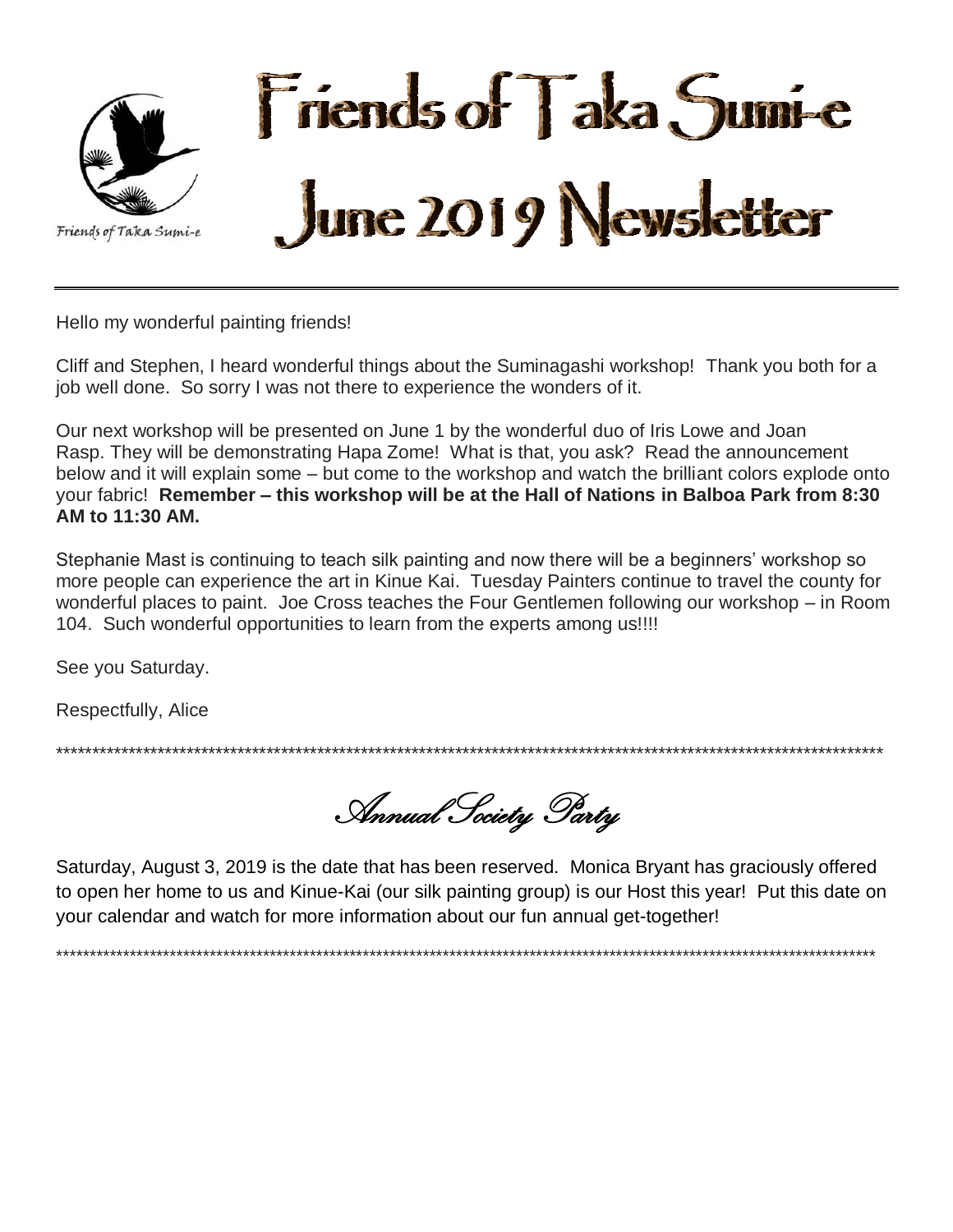

Hello my wonderful painting friends!

Cliff and Stephen, I heard wonderful things about the Suminagashi workshop! Thank you both for a job well done. So sorry I was not there to experience the wonders of it.

Our next workshop will be presented on June 1 by the wonderful duo of Iris Lowe and Joan Rasp. They will be demonstrating Hapa Zome! What is that, you ask? Read the announcement below and it will explain some – but come to the workshop and watch the brilliant colors explode onto your fabric! Remember – this workshop will be at the Hall of Nations in Balboa Park from 8:30 AM to 11:30 AM.

Stephanie Mast is continuing to teach silk painting and now there will be a beginners' workshop so more people can experience the art in Kinue Kai. Tuesday Painters continue to travel the county for wonderful places to paint. Joe Cross teaches the Four Gentlemen following our workshop – in Room 104. Such wonderful opportunities to learn from the experts among us!!!!

See you Saturday.

Respectfully, Alice

Annual Society Party

Saturday, August 3, 2019 is the date that has been reserved. Monica Bryant has graciously offered to open her home to us and Kinue-Kai (our silk painting group) is our Host this year! Put this date on your calendar and watch for more information about our fun annual get-together!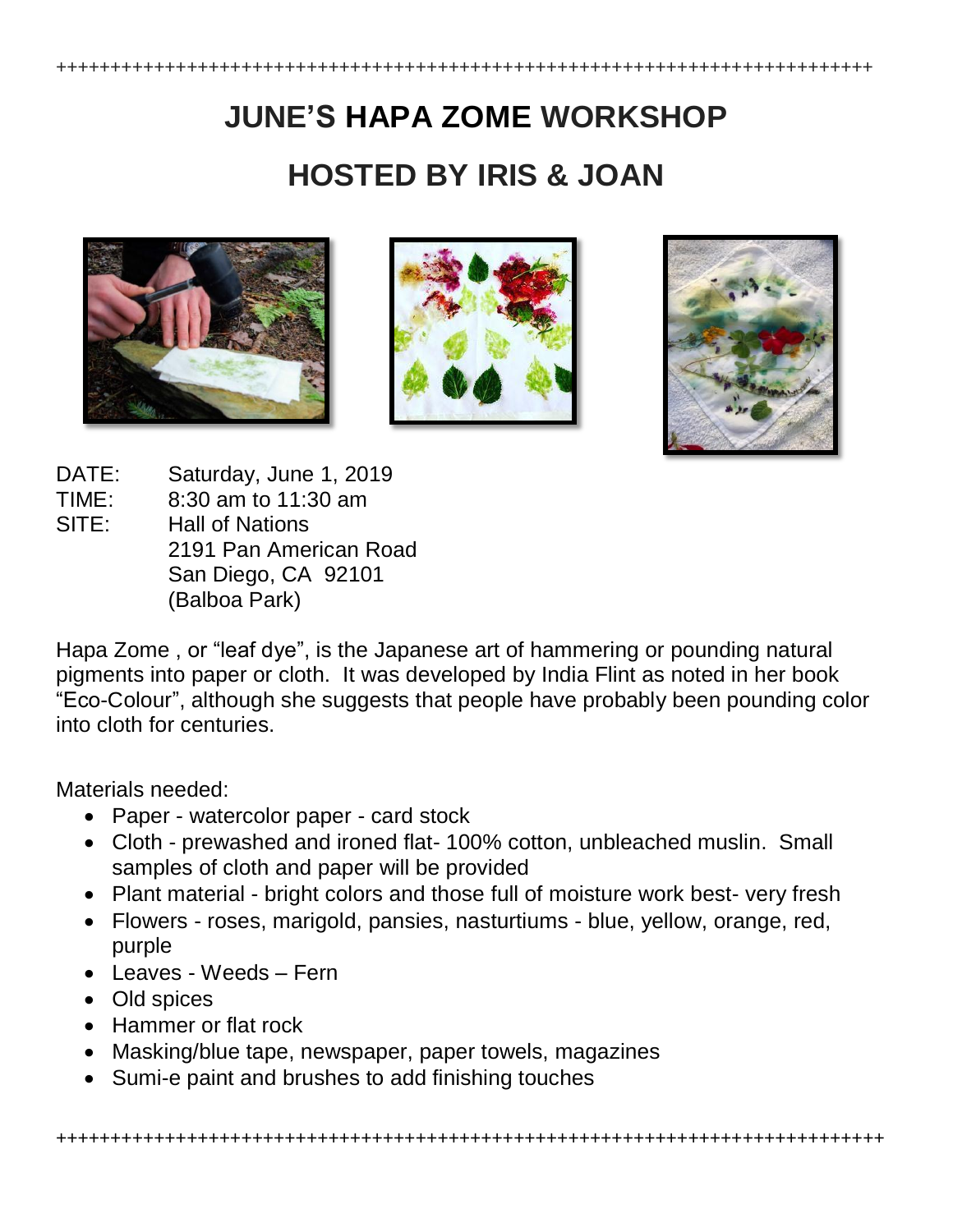# **JUNE'S HAPA ZOME WORKSHOP HOSTED BY IRIS & JOAN**







DATE: Saturday, June 1, 2019

- TIME: 8:30 am to 11:30 am
- SITE: Hall of Nations 2191 Pan American Road San Diego, CA 92101 (Balboa Park)

Hapa Zome , or "leaf dye", is the Japanese art of hammering or pounding natural pigments into paper or cloth. It was developed by India Flint as noted in her book "Eco-Colour", although she suggests that people have probably been pounding color into cloth for centuries.

Materials needed:

- Paper watercolor paper card stock
- Cloth prewashed and ironed flat- 100% cotton, unbleached muslin. Small samples of cloth and paper will be provided
- Plant material bright colors and those full of moisture work best- very fresh
- Flowers roses, marigold, pansies, nasturtiums blue, yellow, orange, red, purple
- Leaves Weeds Fern
- Old spices
- Hammer or flat rock
- Masking/blue tape, newspaper, paper towels, magazines
- Sumi-e paint and brushes to add finishing touches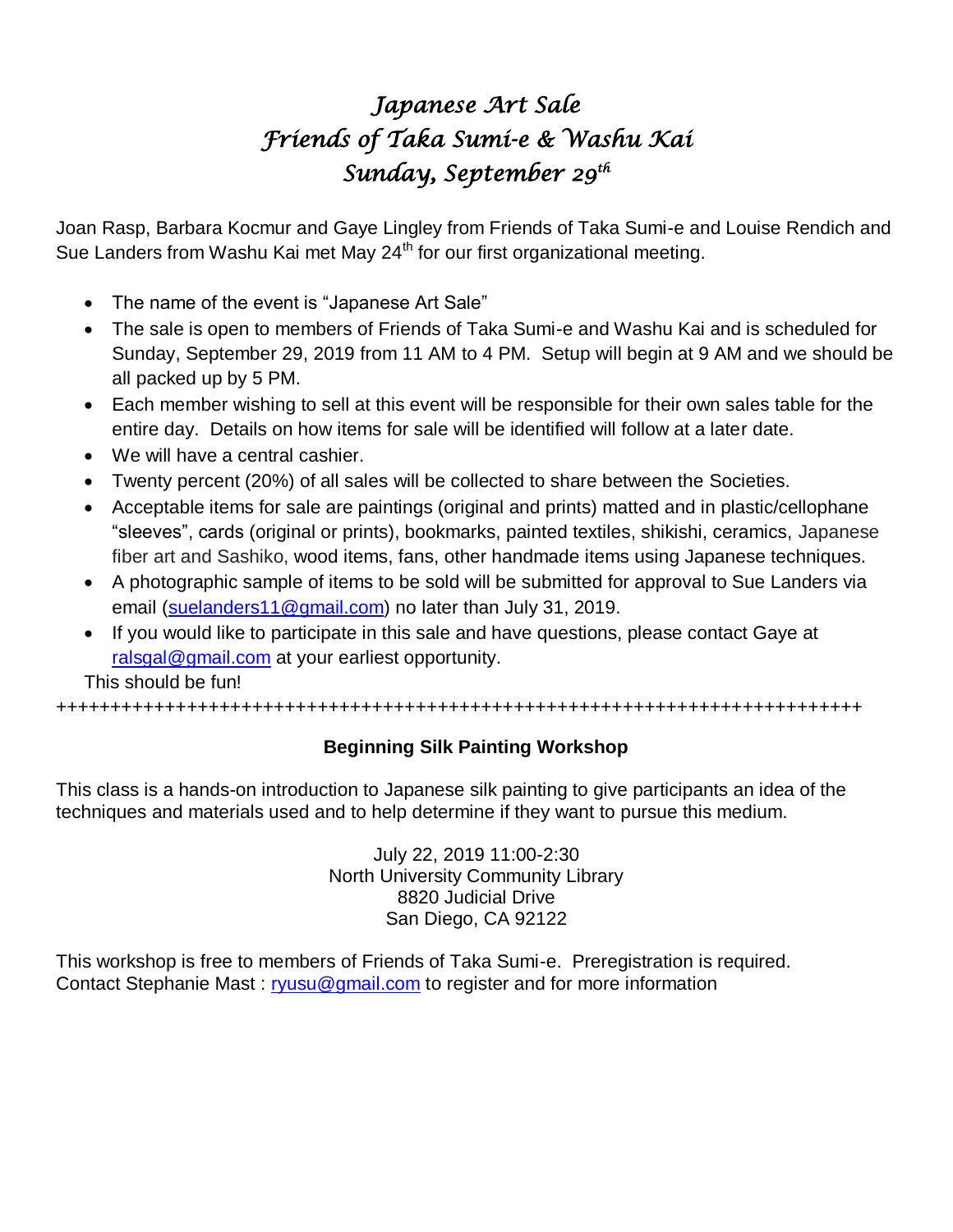# *Japanese Art Sale Friends of Taka Sumi-e & Washu Kai Sunday, September 29th*

Joan Rasp, Barbara Kocmur and Gaye Lingley from Friends of Taka Sumi-e and Louise Rendich and Sue Landers from Washu Kai met May 24<sup>th</sup> for our first organizational meeting.

- The name of the event is "Japanese Art Sale"
- The sale is open to members of Friends of Taka Sumi-e and Washu Kai and is scheduled for Sunday, September 29, 2019 from 11 AM to 4 PM. Setup will begin at 9 AM and we should be all packed up by 5 PM.
- Each member wishing to sell at this event will be responsible for their own sales table for the entire day. Details on how items for sale will be identified will follow at a later date.
- We will have a central cashier.
- Twenty percent (20%) of all sales will be collected to share between the Societies.
- Acceptable items for sale are paintings (original and prints) matted and in plastic/cellophane "sleeves", cards (original or prints), bookmarks, painted textiles, shikishi, ceramics, Japanese fiber art and Sashiko, wood items, fans, other handmade items using Japanese techniques.
- A photographic sample of items to be sold will be submitted for approval to Sue Landers via email [\(suelanders11@gmail.com\)](mailto:suelanders11@gmail.com) no later than July 31, 2019.
- If you would like to participate in this sale and have questions, please contact Gaye at [ralsgal@gmail.com](mailto:ralsgal@gmail.com) at your earliest opportunity.

This should be fun!

++++++++++++++++++++++++++++++++++++++++++++++++++++++++++++++++++++++++++

### **Beginning Silk Painting Workshop**

This class is a hands-on introduction to Japanese silk painting to give participants an idea of the techniques and materials used and to help determine if they want to pursue this medium.

> July 22, 2019 11:00-2:30 North University Community Library 8820 Judicial Drive San Diego, CA 92122

This workshop is free to members of Friends of Taka Sumi-e. Preregistration is required. Contact Stephanie Mast : [ryusu@gmail.com](mailto:ryusu@gmail.com) to register and for more information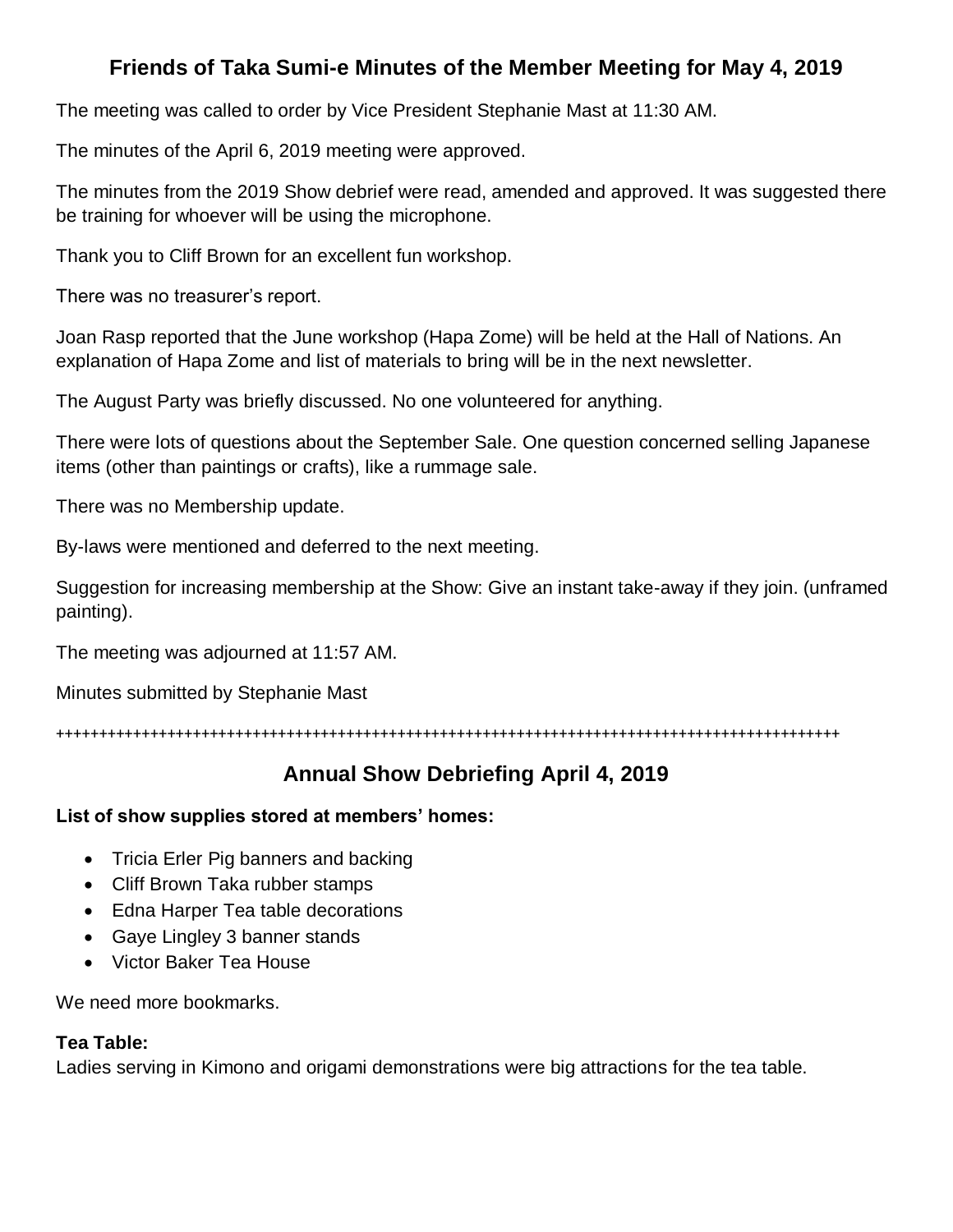# **Friends of Taka Sumi-e Minutes of the Member Meeting for May 4, 2019**

The meeting was called to order by Vice President Stephanie Mast at 11:30 AM.

The minutes of the April 6, 2019 meeting were approved.

The minutes from the 2019 Show debrief were read, amended and approved. It was suggested there be training for whoever will be using the microphone.

Thank you to Cliff Brown for an excellent fun workshop.

There was no treasurer's report.

Joan Rasp reported that the June workshop (Hapa Zome) will be held at the Hall of Nations. An explanation of Hapa Zome and list of materials to bring will be in the next newsletter.

The August Party was briefly discussed. No one volunteered for anything.

There were lots of questions about the September Sale. One question concerned selling Japanese items (other than paintings or crafts), like a rummage sale.

There was no Membership update.

By-laws were mentioned and deferred to the next meeting.

Suggestion for increasing membership at the Show: Give an instant take-away if they join. (unframed painting).

The meeting was adjourned at 11:57 AM.

Minutes submitted by Stephanie Mast

++++++++++++++++++++++++++++++++++++++++++++++++++++++++++++++++++++++++++++++++++++++++++++

# **Annual Show Debriefing April 4, 2019**

#### **List of show supplies stored at members' homes:**

- Tricia Erler Pig banners and backing
- Cliff Brown Taka rubber stamps
- Edna Harper Tea table decorations
- Gaye Lingley 3 banner stands
- Victor Baker Tea House

We need more bookmarks.

#### **Tea Table:**

Ladies serving in Kimono and origami demonstrations were big attractions for the tea table.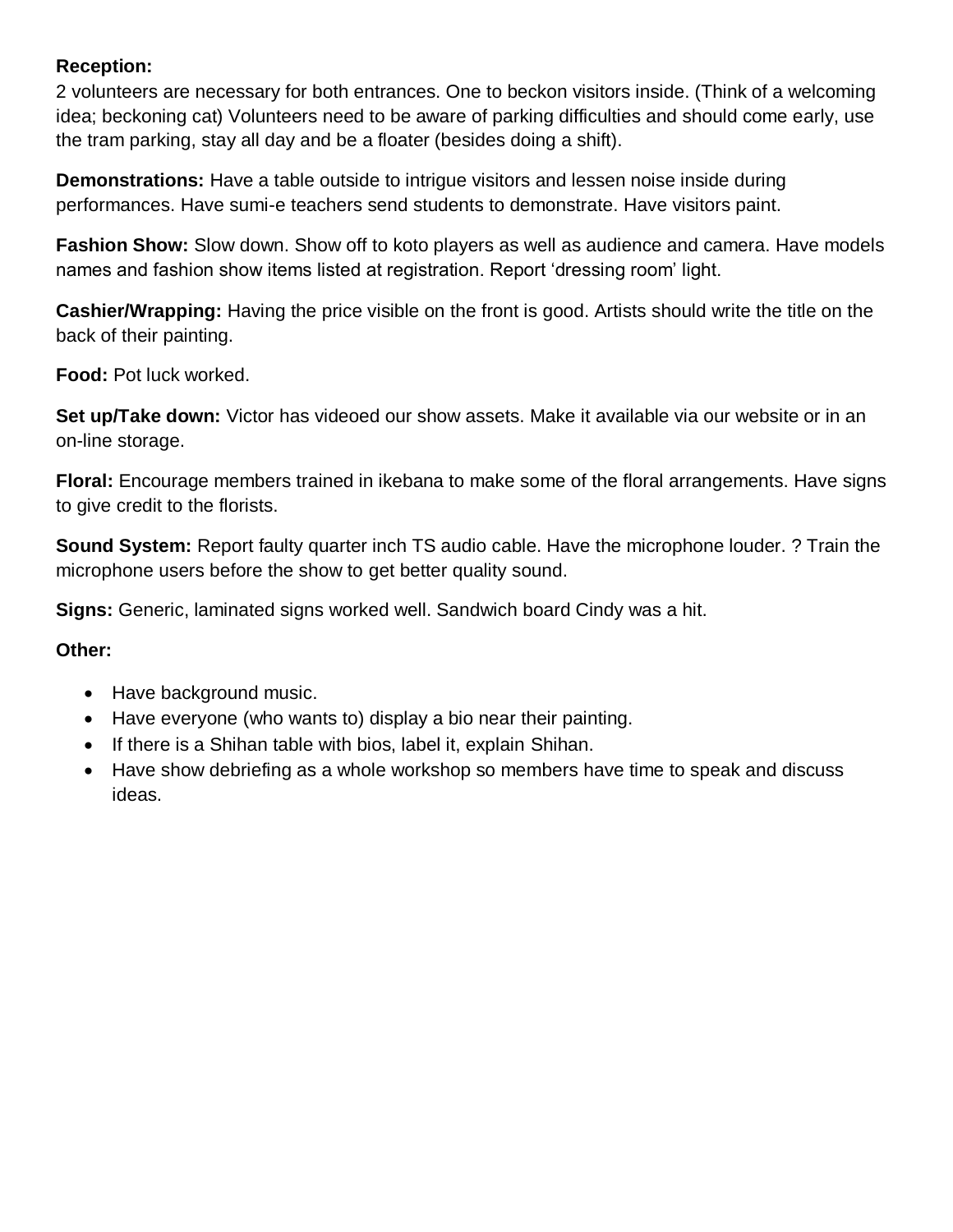#### **Reception:**

2 volunteers are necessary for both entrances. One to beckon visitors inside. (Think of a welcoming idea; beckoning cat) Volunteers need to be aware of parking difficulties and should come early, use the tram parking, stay all day and be a floater (besides doing a shift).

**Demonstrations:** Have a table outside to intrigue visitors and lessen noise inside during performances. Have sumi-e teachers send students to demonstrate. Have visitors paint.

**Fashion Show:** Slow down. Show off to koto players as well as audience and camera. Have models names and fashion show items listed at registration. Report 'dressing room' light.

**Cashier/Wrapping:** Having the price visible on the front is good. Artists should write the title on the back of their painting.

**Food:** Pot luck worked.

**Set up/Take down:** Victor has videoed our show assets. Make it available via our website or in an on-line storage.

**Floral:** Encourage members trained in ikebana to make some of the floral arrangements. Have signs to give credit to the florists.

**Sound System:** Report faulty quarter inch TS audio cable. Have the microphone louder. ? Train the microphone users before the show to get better quality sound.

**Signs:** Generic, laminated signs worked well. Sandwich board Cindy was a hit.

#### **Other:**

- Have background music.
- Have everyone (who wants to) display a bio near their painting.
- If there is a Shihan table with bios, label it, explain Shihan.
- Have show debriefing as a whole workshop so members have time to speak and discuss ideas.